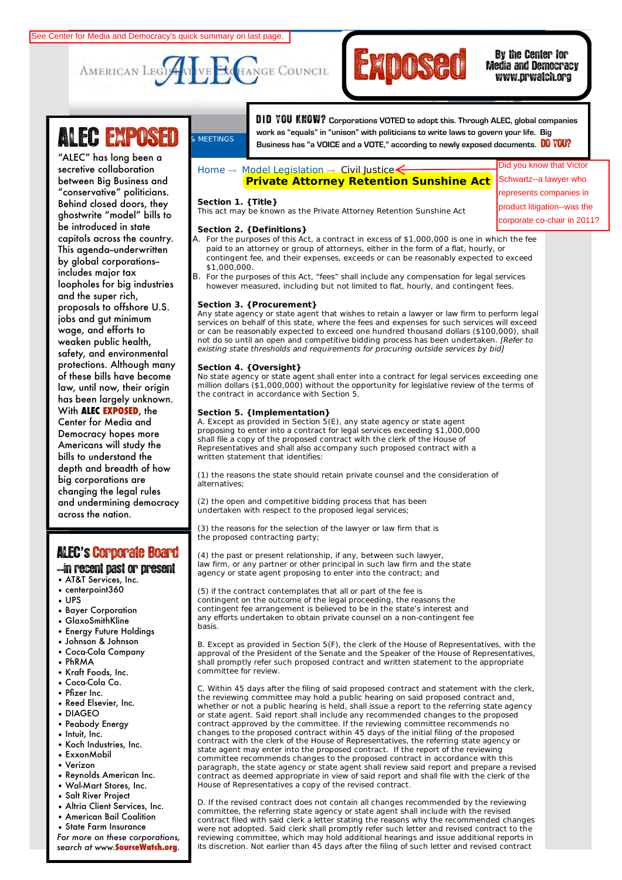



# Media and Democracy www.prwatch.org

"ALEC" has long been a secrenve conaboranon<br>between Big Business and racional <sub>ma</sub> **Commerce, Insurance, and Economic** ghostwrite "model" bills to **Development** be introduced in state **Education** This agenda--underwritten by global corporations– **and Agriculture** includes major tax **Federal Relations** and the super rich, **Health and Human** proposals to offshore U.S. **Services** jobs and gut minimum **International Relations** weaken public health, **Public Safety and** safety, and environmental **Elections** protections. Although many or mose only have become<br>law, until now, their origin has been largely unknown. **and Information** With **ALEC EXPOSED**, the **Center for Media and** Americans will study the bills to understand the  $\operatorname{\sf big}$  corporations are secretive collaboration "conservative" politicians. Behind closed doors, they capitols across the country. loopholes for big industries wage, and efforts to of these bills have become Democracy hopes more depth and breadth of how changing the legal rules and undermining democracy across the nation.

# ALEC**'**s'Corporate Board

--in recent past or present

- AT&T Services, Inc.
- centerpoint360
- UPS
- Bayer Corporation
- GlaxoSmithKline
- Energy Future Holdings
- Johnson & Johnson
- Coca-Cola Company
- PhRMA
- Kraft Foods, Inc.
- Coca-Cola Co.
- Pfizer Inc.
- Reed Elsevier, Inc.
- DIAGEO
- Peabody Energy
- Intuit, Inc.
- Koch Industries, Inc.
- ExxonMobil
- Verizon
- Reynolds American Inc.
- Wal-Mart Stores, Inc.
- Salt River Project
- Altria Client Services, Inc.
- American Bail Coalition
- State Farm Insurance

*For more on these corporations, search at www.***SourceWatch.org**.

Search GO **LOGIN** | **LOGOUT** | **HOME** | **JOIN ALEC** | **CONTACT** D **I** D YOU KNOW? **Corporations VOTED to adopt this. Through ALEC, global companies ALEC EXPOSED** EXPOSED BUSINES BUSINES AS "equals" in "unison" with politicians to write laws to govern your life. Big<br>Business has "a VOICE and a VOTE," according to newly exposed documents. DO YOU? Corporate Corporation Corporation Corporation Corporation Corporation Corporation Corporation Corporation Corporation Corporation Corporation Corporation Corporation Corporation Corporation Corporation Corporation Corpora

Home  $\rightarrow$  Model Legislation  $\rightarrow$  Civil Justice  $\leftarrow$ 

## **Private Attorney Retention Sunshine Act**

#### **Section 1. {Title}**

This act may be known as the Private Attorney Retention Sunshine Act

#### **Section 2. {Definitions}**

- A. For the purposes of this Act, a contract in excess of \$1,000,000 is one in which the fee paid to an attorney or group of attorneys, either in the form of a flat, hourly, or contingent fee, and their expenses, exceeds or can be reasonably expected to exceed \$1,000,000.
- B. For the purposes of this Act, "fees" shall include any compensation for legal services however measured, including but not limited to flat, hourly, and contingent fees.

### **Section 3. {Procurement}**

Any state agency or state agent that wishes to retain a lawyer or law firm to perform legal services on behalf of this state, where the fees and expenses for such services will exceed or can be reasonably expected to exceed one hundred thousand dollars (\$100,000), shall not do so until an open and competitive bidding process has been undertaken. [Refer to existing state thresholds and requirements for procuring outside services by bid]

#### **Section 4. {Oversight}**

No state agency or state agent shall enter into a contract for legal services exceeding one million dollars (\$1,000,000) without the opportunity for legislative review of the terms of the contract in accordance with Section 5.

#### **Section 5. {Implementation}**

A. Except as provided in Section 5(E), any state agency or state agent proposing to enter into a contract for legal services exceeding \$1,000,000 shall file a copy of the proposed contract with the clerk of the House of Representatives and shall also accompany such proposed contract with a written statement that identifies:

(1) the reasons the state should retain private counsel and the consideration of alternatives;

(2) the open and competitive bidding process that has been undertaken with respect to the proposed legal services;

(3) the reasons for the selection of the lawyer or law firm that is the proposed contracting party;

(4) the past or present relationship, if any, between such lawyer, law firm, or any partner or other principal in such law firm and the state agency or state agent proposing to enter into the contract; and

(5) if the contract contemplates that all or part of the fee is contingent on the outcome of the legal proceeding, the reasons the contingent fee arrangement is believed to be in the state's interest and any efforts undertaken to obtain private counsel on a non-contingent fee basis.

B. Except as provided in Section 5(F), the clerk of the House of Representatives, with the approval of the President of the Senate and the Speaker of the House of Representatives, shall promptly refer such proposed contract and written statement to the appropriate committee for review.

C. Within 45 days after the filing of said proposed contract and statement with the clerk, the reviewing committee may hold a public hearing on said proposed contract and, whether or not a public hearing is held, shall issue a report to the referring state agency or state agent. Said report shall include any recommended changes to the proposed contract approved by the committee. If the reviewing committee recommends no changes to the proposed contract within 45 days of the initial filing of the proposed contract with the clerk of the House of Representatives, the referring state agency or state agent may enter into the proposed contract. If the report of the reviewing committee recommends changes to the proposed contract in accordance with this paragraph, the state agency or state agent shall review said report and prepare a revised contract as deemed appropriate in view of said report and shall file with the clerk of the House of Representatives a copy of the revised contract.

D. If the revised contract does not contain all changes recommended by the reviewing committee, the referring state agency or state agent shall include with the revised contract filed with said clerk a letter stating the reasons why the recommended changes were not adopted. Said clerk shall promptly refer such letter and revised contract to the reviewing committee, which may hold additional hearings and issue additional reports in its discretion. Not earlier than 45 days after the filing of such letter and revised contract

Did you know that Victor Schwartz--a lawyer who represents companies in product litigation--was the